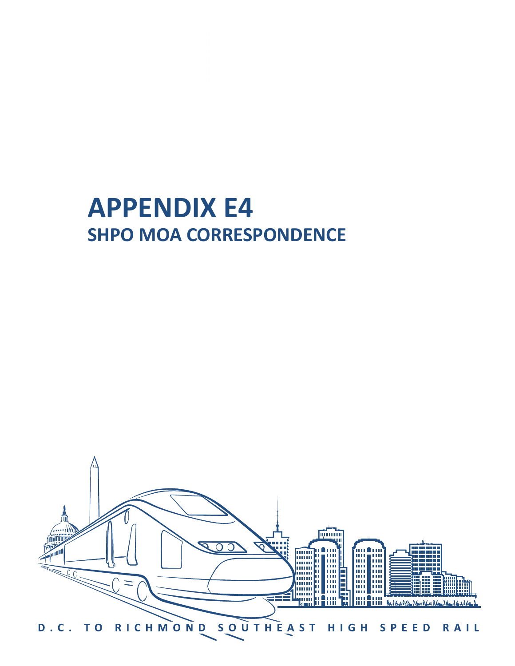# **APPENDIX E4 SHPO MOA CORRESPONDENCE**

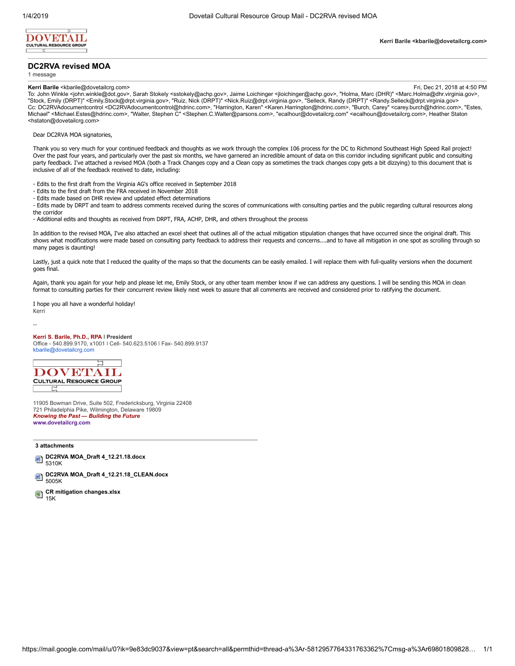

## **DC2RVA revised MOA**

1 message

**Kerri Barile <kbarile@dovetailcrg.com>**

**Kerri Barile** <kbarile@dovetailcrg.com><br>To: John Winkle <john.winkle@dot.gov>, Sarah Stokely <sstokely@achp.gov>, Jaime Loichinger <jloichinger@achp.gov>, "Holma, Marc (DHR)" <Marc.Holma@dhr.virginia.gov>,<br>To: John Winkl Cc: DC2RVAdocumentcontrol <DC2RVAdocumentcontrol@hdrinc.com>, "Harrington, Karen" <Karen.Harrington@hdrinc.com>, "Burch, Carey" <carey.burch@hdrinc.com>, "Estes,<br>Michael" <Michael.Estes@hdrinc.com>, "Walter, Stephen C" <S <hstaton@dovetailcrg.com>

# Dear DC2RVA MOA signatories,

Thank you so very much for your continued feedback and thoughts as we work through the complex 106 process for the DC to Richmond Southeast High Speed Rail project! Over the past four years, and particularly over the past six months, we have garnered an incredible amount of data on this corridor including significant public and consulting party feedback. I've attached a revised MOA (both a Track Changes copy and a Clean copy as sometimes the track changes copy gets a bit dizzying) to this document that is inclusive of all of the feedback received to date, including:

- Edits to the first draft from the Virginia AG's office received in September 2018
- Edits to the first draft from the FRA received in November 2018
- Edits made based on DHR review and updated effect determinations
- Edits made by DRPT and team to address comments received during the scores of communications with consulting parties and the public regarding cultural resources along the corridor

- Additional edits and thoughts as received from DRPT, FRA, ACHP, DHR, and others throughout the process

In addition to the revised MOA, I've also attached an excel sheet that outlines all of the actual mitigation stipulation changes that have occurred since the original draft. This shows what modifications were made based on consulting party feedback to address their requests and concerns....and to have all mitigation in one spot as scrolling through so many pages is daunting!

Lastly, just a quick note that I reduced the quality of the maps so that the documents can be easily emailed. I will replace them with full-quality versions when the document goes final.

Again, thank you again for your help and please let me, Emily Stock, or any other team member know if we can address any questions. I will be sending this MOA in clean format to consulting parties for their concurrent review likely next week to assure that all comments are received and considered prior to ratifying the document.

I hope you all have a wonderful holiday! Kerri

--

### **Kerri S. Barile, Ph.D., RPA ǀ President**

Office - 540.899.9170, x1001 ǀ Cell- 540.623.5106 ǀ Fax- 540.899.9137 [kbarile@dovetailcrg.com](mailto:kbarile@dovetailcrg.com)



11905 Bowman Drive, Suite 502, Fredericksburg, Virginia 22408 721 Philadelphia Pike, Wilmington, Delaware 19809 *Knowing the Past — Building the Future* **[www.dovetailcrg.com](http://www.dovetailcrg.com/)**

**3 attachments**

- **DC2RVA MOA\_Draft 4\_12.21.18.docx** 呬 5310K
- **DC2RVA MOA\_Draft 4\_12.21.18\_CLEAN.docx** 呬 5005K
- **CR mitigation changes.xlsx** 團 15K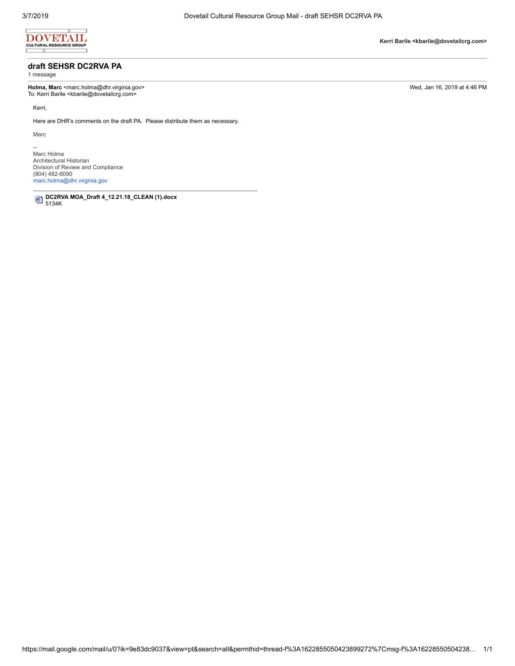

# **draft SEHSR DC2RVA PA**

1 message

**Holma, Marc** <marc.holma@dhr.virginia.gov> Wed, Jan 16, 2019 at 4:46 PM To: Kerri Barile <kbarile@dovetailcrg.com>

Kerri,

Here are DHR's comments on the draft PA. Please distribute them as necessary.

Marc

--<br>Marc Holma Architectural Historian Division of Review and Compliance (804) 482-6090 [marc.holma@dhr.virginia.gov](mailto:marc.holma@dhr.virginia.gov)

**DC2RVA MOA\_Draft 4\_12.21.18\_CLEAN (1).docx** 5134K

**Kerri Barile <kbarile@dovetailcrg.com>**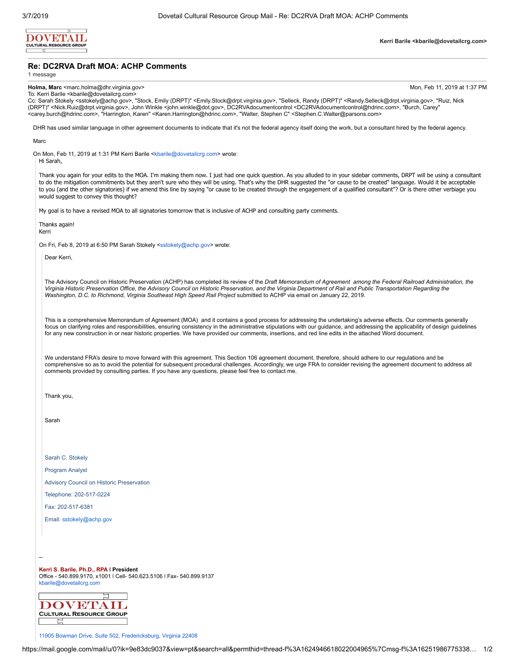

## **Re: DC2RVA Draft MOA: ACHP Comments**

1 message

**Holma, Marc** <marc holma@dhr.virginia.gov> Mon, Feb 11, 2019 at 1:37 PM

To: Kerri Barile <kbarile@dovetailcrg.com> Cc: Sarah Stokely <sstokely@achp.gov>, "Stock, Emily (DRPT)" <Emily.Stock@drpt.virginia.gov>, "Selleck, Randy (DRPT)" <Randy.Selleck@drpt.virginia.gov>, "Ruiz, Nick (DRPT)" <Nick.Ruiz@drpt.virginia.gov>, John Winkle <john.winkle@dot.gov>, DC2RVAdocumentcontrol <DC2RVAdocumentcontrol@hdrinc.com>, "Burch, Carey" <carey.burch@hdrinc.com>, "Harrington, Karen" <Karen.Harrington@hdrinc.com>, "Walter, Stephen C" <Stephen.C.Walter@parsons.com>

DHR has used similar language in other agreement documents to indicate that it's not the federal agency itself doing the work, but a consultant hired by the federal agency.

#### Marc

On Mon, Feb 11, 2019 at 1:31 PM Kerri Barile <[kbarile@dovetailcrg.com](mailto:kbarile@dovetailcrg.com)> wrote:

Hi Sarah,

Thank you again for your edits to the MOA. I'm making them now. I just had one quick question. As you alluded to in your sidebar comments, DRPT will be using a consultant to do the mitigation commitments but they aren't sure who they will be using. That's why the DHR suggested the "or cause to be created" language. Would it be acceptable to you (and the other signatories) if we amend this line by saying "or cause to be created through the engagement of a qualified consultant"? Or is there other verbiage you would suggest to convey this thought?

My goal is to have a revised MOA to all signatories tomorrow that is inclusive of ACHP and consulting party comments.

Thanks again! Kerri

On Fri, Feb 8, 2019 at 6:50 PM Sarah Stokely <[sstokely@achp.gov](mailto:sstokely@achp.gov)> wrote:

Dear Kerri,

The Advisory Council on Historic Preservation (ACHP) has completed its review of the *Draft Memorandum of Agreement among the Federal Railroad Administration, the Virginia Historic Preservation Office, the Advisory Council on Historic Preservation, and the Virginia Department of Rail and Public Transportation Regarding the* Washington, D.C. to Richmond, Virginia Southeast High Speed Rail Project submitted to ACHP via email on January 22, 2019.

This is a comprehensive Memorandum of Agreement (MOA) and it contains a good process for addressing the undertaking's adverse effects. Our comments generally focus on clarifying roles and responsibilities, ensuring consistency in the administrative stipulations with our guidance, and addressing the applicability of design quidelines for any new construction in or near historic properties. We have provided our comments, insertions, and red line edits in the attached Word document.

We understand FRA's desire to move forward with this agreement. This Section 106 agreement document, therefore, should adhere to our regulations and be comprehensive so as to avoid the potential for subsequent procedural challenges. Accordingly, we urge FRA to consider revising the agreement document to address all comments provided by consulting parties. If you have any questions, please feel free to contact me.

Thank you,

Sarah

Sarah C. Stokely

Program Analyst

Advisory Council on Historic Preservation

Telephone: 202-517-0224

Fax: 202-517-6381

--

Email: [sstokely@achp.gov](mailto:sstokely@achp.gov)

**Kerri S. Barile, Ph.D., RPA ǀ President** Office - 540.899.9170, x1001 ǀ Cell- 540.623.5106 ǀ Fax- 540.899.9137 [kbarile@dovetailcrg.com](mailto:kbarile@dovetailcrg.com)



11905 Bowman Drive, Suite 502, [Fredericksburg,](https://maps.google.com/?q=11905+Bowman+Drive,+Suite+502,+Fredericksburg,+Virginia+22408&entry=gmail&source=g) Virginia 22408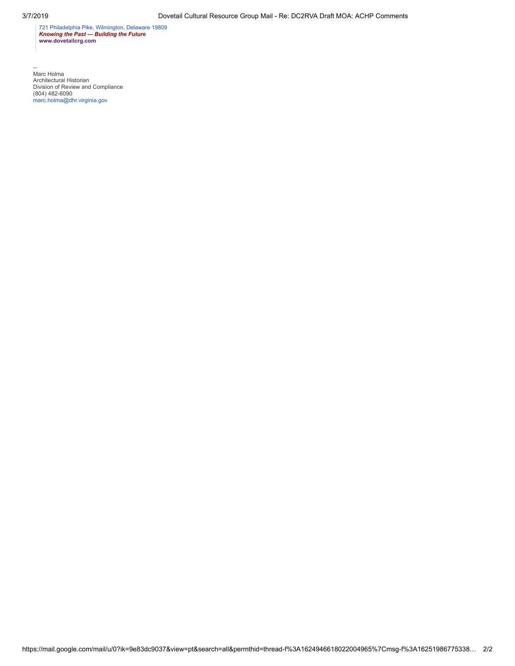721 [Philadelphia](https://maps.google.com/?q=721+Philadelphia+Pike,+Wilmington,+Delaware+19809&entry=gmail&source=g) Pike, Wilmington, Delaware 19809 *Knowing the Past — Building the Future* **[www.dovetailcrg.com](http://www.dovetailcrg.com/)**

--<br>Architectural Historian<br>Division of Review and Compliance<br>(804) 482-6090<br>[marc.holma@dhr.virginia.gov](mailto:marc.holma@dhr.virginia.gov)